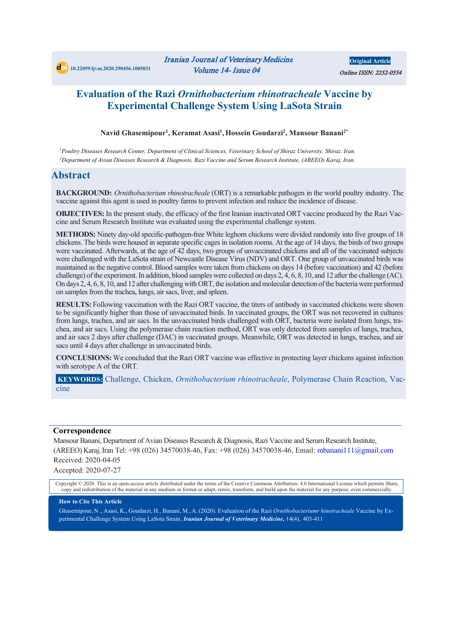# **Evaluation of the Razi** *Ornithobacterium rhinotracheale* **Vaccine by Experimental Challenge System Using LaSota Strain**

#### **Navid Ghasemipour1 , Keramat Asasi1 , Hossein Goudarzi2 , Mansour Banani2\***

*.1Poultry Diseases Research Center, Department of Clinical Sciences, Veterinary School of Shiraz University, Shiraz. Iran. .2Department of Avian Diseases Research & Diagnosis, Razi Vaccine and Serum Research Institute, (AREEO) Karaj, Iran.*

#### **Abstract**

**BACKGROUND:** *Ornithobacterium rhinotracheale* (ORT) is a remarkable pathogen in the world poultry industry. The vaccine against this agent is used in poultry farms to prevent infection and reduce the incidence of disease.

**OBJECTIVES:** In the present study, the efficacy of the first Iranian inactivated ORT vaccine produced by the Razi Vaccine and Serum Research Institute was evaluated using the experimental challenge system .

**METHODS:** Ninety day-old specific-pathogen-free White leghorn chickens were divided randomly into five groups of 18 chickens. The birds were housed in separate specific cages in isolation rooms. At the age of 14 days, the birds of two groups were vaccinated. Afterwards, at the age of 42 days, two groups of unvaccinated chickens and all of the vaccinated subjects were challenged with the LaSota strain of Newcastle Disease Virus (NDV) and ORT. One group of unvaccinated birds was maintained as the negative control. Blood samples were taken from chickens on days 14 (before vaccination) and 42 (before challenge) of the experiment. In addition, blood samples were collected on days 2, 4, 6, 8, 10, and 12 after the challenge (AC). On days 2, 4, 6, 8, 10, and 12 after challenging with ORT, the isolation and molecular detection of the bacteria were performed on samples from the trachea, lungs, air sacs, liver, and spleen.

**RESULTS:** Following vaccination with the Razi ORT vaccine, the titers of antibody in vaccinated chickens were shown to be significantly higher than those of unvaccinated birds. In vaccinated groups, the ORT was not recovered in cultures from lungs, trachea, and air sacs. In the unvaccinated birds challenged with ORT, bacteria were isolated from lungs, trachea, and air sacs. Using the polymerase chain reaction method, ORT was only detected from samples of lungs, trachea, and air sacs 2 days after challenge (DAC) in vaccinated groups. Meanwhile, ORT was detected in lungs, trachea, and air sacs until 4 days after challenge in unvaccinated birds.

**CONCLUSIONS:** We concluded that the Razi ORT vaccine was effective in protecting layer chickens against infection with serotype A of the ORT.

**KEYWORDS:** Challenge, Chicken, *Ornithobacterium rhinotracheale*, Polymerase Chain Reaction, Vaccine

#### **Correspondence**

Mansour Banani, Department of Avian Diseases Research & Diagnosis, Razi Vaccine and Serum Research Institute, (AREEO) Karaj, Iran Tel: +98 (026) 34570038-46, Fax: +98 (026) 34570038-46, Email: mbanani111@gmail.com Received: 2020-04-05

Accepted: 2020-07-27

Copyright © 2020. This is an open-access article distributed under the terms of the Creative Commons Attribution- 4.0 International License which permits Share, copy and redistribution of the material in any medium or format or adapt, remix, transform, and build upon the material for any purpose, even commercially.

#### **How to Cite This Article**

Ghasemipour, N ., Asasi, K., Goudarzi, H., Banani, M*.*, A. (2020). Evaluation of the Razi *Ornithobacteriumr hinotracheale* Vaccine by Experimental Challenge System Using LaSota Strain. *Iranian Journal of Veterinary Medicine,* 14(4), 403-411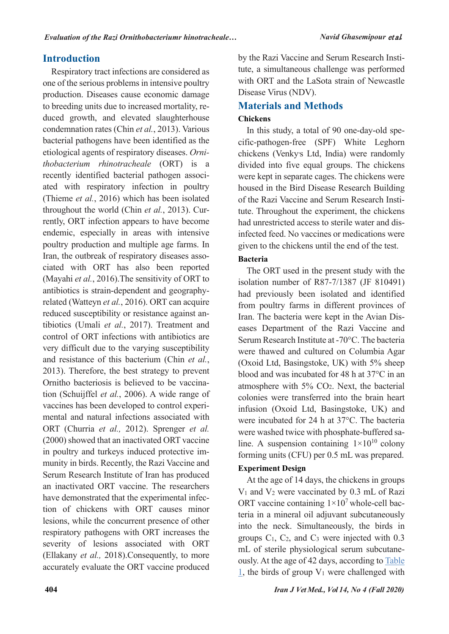# **Introduction**

Respiratory tract infections are considered as one of the serious problems in intensive poultry production. Diseases cause economic damage to breeding units due to increased mortality, reduced growth, and elevated slaughterhouse condemnation rates (Chin *et al.*, 2013). Various bacterial pathogens have been identified as the etiological agents of respiratory diseases. *Ornithobacterium rhinotracheale* (ORT) is a recently identified bacterial pathogen associated with respiratory infection in poultry (Thieme *et al.*, 2016) which has been isolated throughout the world (Chin *et al.*, 2013). Currently, ORT infection appears to have become endemic, especially in areas with intensive poultry production and multiple age farms. In Iran, the outbreak of respiratory diseases associated with ORT has also been reported (Mayahi *et al.*, 2016).The sensitivity of ORT to antibiotics is strain-dependent and geographyrelated (Watteyn *et al.*, 2016). ORT can acquire reduced susceptibility or resistance against antibiotics (Umali *et al.*, 2017). Treatment and control of ORT infections with antibiotics are very difficult due to the varying susceptibility and resistance of this bacterium (Chin *et al.*, 2013). Therefore, the best strategy to prevent Ornitho bacteriosis is believed to be vaccination (Schuijffel *et al.*, 2006). A wide range of vaccines has been developed to control experimental and natural infections associated with ORT (Churria *et al.,* 2012). Sprenger *et al.*  (2000) showed that an inactivated ORT vaccine in poultry and turkeys induced protective immunity in birds. Recently, the Razi Vaccine and Serum Research Institute of Iran has produced an inactivated ORT vaccine. The researchers have demonstrated that the experimental infection of chickens with ORT causes minor lesions, while the concurrent presence of other respiratory pathogens with ORT increases the severity of lesions associated with ORT (Ellakany *et al.,* 2018).Consequently, to more accurately evaluate the ORT vaccine produced

by the Razi Vaccine and Serum Research Institute, a simultaneous challenge was performed with ORT and the LaSota strain of Newcastle Disease Virus (NDV).

# **Materials and Methods**

## **Chickens**

In this study, a total of 90 one-day-old specific-pathogen-free (SPF) White Leghorn chickens (Venky's Ltd, India) were randomly divided into five equal groups. The chickens were kept in separate cages. The chickens were housed in the Bird Disease Research Building of the Razi Vaccine and Serum Research Institute. Throughout the experiment, the chickens had unrestricted access to sterile water and disinfected feed. No vaccines or medications were given to the chickens until the end of the test.

# **Bacteria**

The ORT used in the present study with the isolation number of R87-7/1387 (JF 810491) had previously been isolated and identified from poultry farms in different provinces of Iran. The bacteria were kept in the Avian Diseases Department of the Razi Vaccine and Serum Research Institute at -70°C. The bacteria were thawed and cultured on Columbia Agar (Oxoid Ltd, Basingstoke, UK) with 5% sheep blood and was incubated for 48 h at 37°C in an atmosphere with 5% CO2. Next, the bacterial colonies were transferred into the brain heart infusion (Oxoid Ltd, Basingstoke, UK) and were incubated for 24 h at 37°C. The bacteria were washed twice with phosphate-buffered saline. A suspension containing  $1 \times 10^{10}$  colony forming units (CFU) per 0.5 mL was prepared.

## **Experiment Design**

At the age of 14 days, the chickens in groups  $V_1$  and  $V_2$  were vaccinated by 0.3 mL of Razi ORT vaccine containing  $1 \times 10^7$  whole-cell bacteria in a mineral oil adjuvant subcutaneously into the neck. Simultaneously, the birds in groups  $C_1$ ,  $C_2$ , and  $C_3$  were injected with 0.3 mL of sterile physiological serum subcutaneously. At the age of 42 days, according to [Table](#page-2-0)  [1,](#page-2-0) the birds of group  $V_1$  were challenged with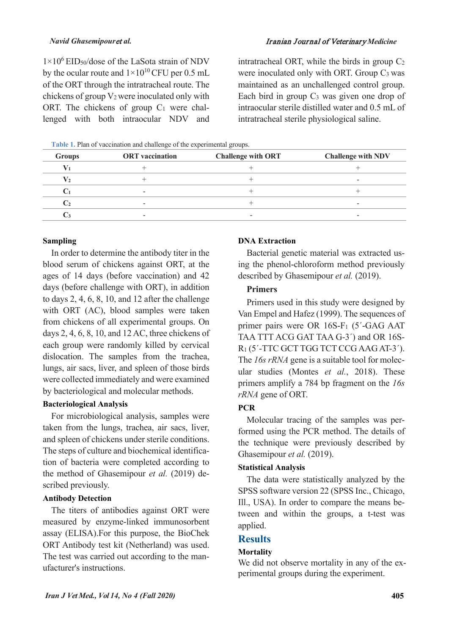#### *Navid Ghasemipour*et *al.* Iranian Journal of Veterinary *Medicine*

 $1\times10^6$  EID<sub>50</sub>/dose of the LaSota strain of NDV by the ocular route and  $1\times10^{10}$  CFU per 0.5 mL of the ORT through the intratracheal route. The chickens of group V2 were inoculated only with ORT. The chickens of group  $C_1$  were challenged with both intraocular NDV and intratracheal ORT, while the birds in group  $C_2$ were inoculated only with ORT. Group C<sub>3</sub> was maintained as an unchallenged control group. Each bird in group  $C_3$  was given one drop of intraocular sterile distilled water and 0.5 mL of intratracheal sterile physiological saline.

<span id="page-2-0"></span>**Table 1.** Plan of vaccination and challenge of the experimental groups.

| <b>Groups</b> | <b>ORT</b> vaccination | <b>Challenge with ORT</b> | <b>Challenge with NDV</b> |
|---------------|------------------------|---------------------------|---------------------------|
|               |                        |                           |                           |
| v,            |                        |                           | -                         |
|               | -                      |                           |                           |
|               | -                      |                           | -                         |
|               | -                      | -                         | $\overline{\phantom{a}}$  |

#### **Sampling**

In order to determine the antibody titer in the blood serum of chickens against ORT, at the ages of 14 days (before vaccination) and 42 days (before challenge with ORT), in addition to days 2, 4, 6, 8, 10, and 12 after the challenge with ORT (AC), blood samples were taken from chickens of all experimental groups. On days 2, 4, 6, 8, 10, and 12 AC, three chickens of each group were randomly killed by cervical dislocation. The samples from the trachea, lungs, air sacs, liver, and spleen of those birds were collected immediately and were examined by bacteriological and molecular methods.

#### **Bacteriological Analysis**

For microbiological analysis, samples were taken from the lungs, trachea, air sacs, liver, and spleen of chickens under sterile conditions. The steps of culture and biochemical identification of bacteria were completed according to the method of Ghasemipour *et al.* (2019) described previously.

#### **Antibody Detection**

The titers of antibodies against ORT were measured by enzyme-linked immunosorbent assay (ELISA).For this purpose, the BioChek ORT Antibody test kit (Netherland) was used. The test was carried out according to the manufacturer's instructions.

#### **DNA Extraction**

Bacterial genetic material was extracted using the phenol-chloroform method previously described by Ghasemipour *et al.* (2019).

#### **Primers**

Primers used in this study were designed by Van Empel and Hafez (1999). The sequences of primer pairs were OR 16S-F<sub>1</sub> (5'-GAG AAT TAA TTT ACG GAT TAA G-3´) and OR 16S-R1 (5´-TTC GCT TGG TCT CCG AAG AT-3´). The *16s rRNA* gene is a suitable tool for molecular studies (Montes *et al.*, 2018). These primers amplify a 784 bp fragment on the *16s rRNA* gene of ORT.

#### **PCR**

Molecular tracing of the samples was performed using the PCR method. The details of the technique were previously described by Ghasemipour *et al.* (2019).

#### **Statistical Analysis**

The data were statistically analyzed by the SPSS software version 22 (SPSS Inc., Chicago, Ill., USA). In order to compare the means between and within the groups, a t-test was applied.

### **Results**

#### **Mortality**

We did not observe mortality in any of the experimental groups during the experiment.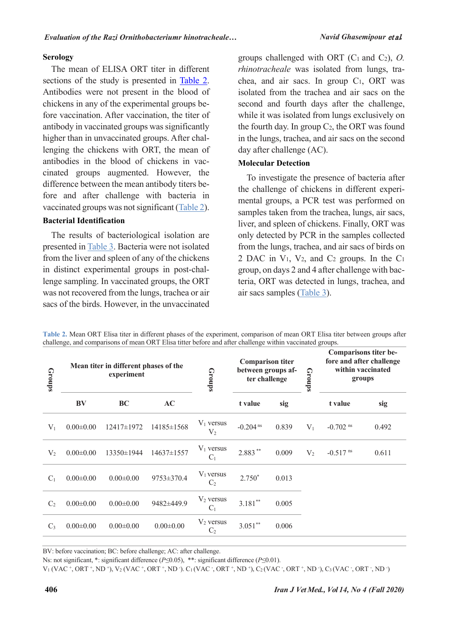#### **Serology**

The mean of ELISA ORT titer in different sections of the study is presented in [Table 2.](#page-3-0) Antibodies were not present in the blood of chickens in any of the experimental groups before vaccination. After vaccination, the titer of antibody in vaccinated groups was significantly higher than in unvaccinated groups. After challenging the chickens with ORT, the mean of antibodies in the blood of chickens in vaccinated groups augmented. However, the difference between the mean antibody titers before and after challenge with bacteria in vaccinated groups was not significant [\(Table 2\)](#page-3-0).

#### **Bacterial Identification**

The results of bacteriological isolation are presented in [Table 3.](#page-4-0) Bacteria were not isolated from the liver and spleen of any of the chickens in distinct experimental groups in post-challenge sampling. In vaccinated groups, the ORT was not recovered from the lungs, trachea or air sacs of the birds. However, in the unvaccinated groups challenged with ORT (C1 and C2), *O. rhinotracheale* was isolated from lungs, trachea, and air sacs. In group C1, ORT was isolated from the trachea and air sacs on the second and fourth days after the challenge, while it was isolated from lungs exclusively on the fourth day. In group  $C_2$ , the ORT was found in the lungs, trachea, and air sacs on the second day after challenge (AC).

#### **Molecular Detection**

To investigate the presence of bacteria after the challenge of chickens in different experimental groups, a PCR test was performed on samples taken from the trachea, lungs, air sacs, liver, and spleen of chickens. Finally, ORT was only detected by PCR in the samples collected from the lungs, trachea, and air sacs of birds on 2 DAC in  $V_1$ ,  $V_2$ , and  $C_2$  groups. In the  $C_1$ group, on days 2 and 4 after challenge with bacteria, ORT was detected in lungs, trachea, and air sacs samples [\(Table 3\)](#page-4-0).

<span id="page-3-0"></span>**Table 2.** Mean ORT Elisa titer in different phases of the experiment, comparison of mean ORT Elisa titer between groups after challenge, and comparisons of mean ORT Elisa titter before and after challenge within vaccinated groups.

| Groups         |                 | Mean titer in different phases of the<br>experiment |                 | Groups                         | <b>Comparison titer</b><br>between groups af-<br>ter challenge |       | <b>Groups</b> | <b>Comparisons titer be-</b><br>fore and after challenge<br>within vaccinated<br>groups |       |  |  |  |
|----------------|-----------------|-----------------------------------------------------|-----------------|--------------------------------|----------------------------------------------------------------|-------|---------------|-----------------------------------------------------------------------------------------|-------|--|--|--|
|                | <b>BV</b>       | <b>BC</b>                                           | AC              |                                | t value                                                        | sig   |               | t value                                                                                 | sig   |  |  |  |
| $V_1$          | $0.00 \pm 0.00$ | $12417\pm 1972$                                     | 14185±1568      | $V_1$ versus<br>V <sub>2</sub> | $-0.204$ <sup>ns</sup>                                         | 0.839 | $V_1$         | $-0.702$ <sup>ns</sup>                                                                  | 0.492 |  |  |  |
| V <sub>2</sub> | $0.00 \pm 0.00$ | 13350±1944                                          | 14637±1557      | $V_1$ versus<br>$C_1$          | $2.883***$                                                     | 0.009 | $V_2$         | $-0.517$ <sup>ns</sup>                                                                  | 0.611 |  |  |  |
| $C_1$          | $0.00 \pm 0.00$ | $0.00 \pm 0.00$                                     | 9753±370.4      | $V_1$ versus<br>$C_2$          | $2.750*$                                                       | 0.013 |               |                                                                                         |       |  |  |  |
| C <sub>2</sub> | $0.00 \pm 0.00$ | $0.00 \pm 0.00$                                     | 9482±449.9      | $V_2$ versus<br>$C_1$          | $3.181**$                                                      | 0.005 |               |                                                                                         |       |  |  |  |
| $C_3$          | $0.00 \pm 0.00$ | $0.00 \pm 0.00$                                     | $0.00 \pm 0.00$ | $V_2$ versus<br>C <sub>2</sub> | $3.051***$                                                     | 0.006 |               |                                                                                         |       |  |  |  |

BV: before vaccination; BC: before challenge; AC: after challenge.

Ns: not significant, \*: significant difference (*P*≤0.05), \*\*: significant difference (*P*≤0.01).

 $V_1$  (VAC +, ORT +, ND +), V<sub>2</sub> (VAC +, ORT +, ND -). C<sub>1</sub> (VAC -, ORT +, ND +), C<sub>2</sub> (VAC -, ORT +, ND -), C<sub>3</sub> (VAC -, ORT -, ND -)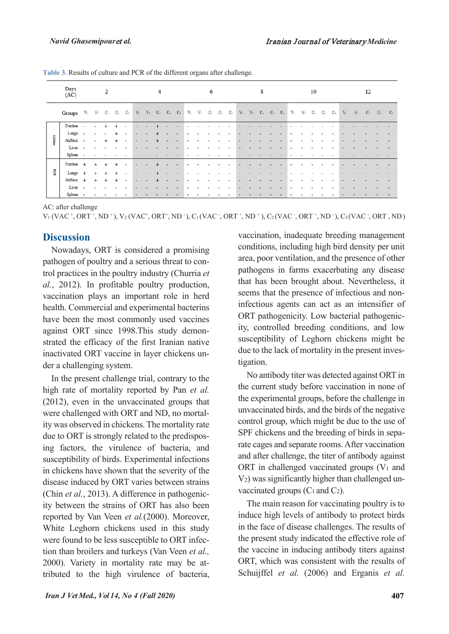|         | Days<br>(AC)                                                                                   | 2                        |                          |           |           |                          |        |                                                   | 4 |                          | 6      |        |                                                                                                 |  |  |  |  | 8 |  |  |  |             |                | 10 |                   | 12    |                   |  |  |       |
|---------|------------------------------------------------------------------------------------------------|--------------------------|--------------------------|-----------|-----------|--------------------------|--------|---------------------------------------------------|---|--------------------------|--------|--------|-------------------------------------------------------------------------------------------------|--|--|--|--|---|--|--|--|-------------|----------------|----|-------------------|-------|-------------------|--|--|-------|
|         | $\begin{array}{ccccccccc} \textbf{Groups} & & V_1 & & V_2 & & C_1 & & C_2 & & C_3 \end{array}$ |                          |                          |           |           |                          |        | $V_1 \qquad V_2 \qquad C_1 \qquad C_2 \qquad C_3$ |   |                          |        |        | $V_1 \quad V_2 \quad C_1 \quad C_2 \quad C_3 \quad V_1 \quad V_2 \quad C_1 \quad C_2 \quad C_3$ |  |  |  |  |   |  |  |  | $V_{\perp}$ | V <sub>2</sub> |    | $C_1$ $C_2$ $C_3$ | $V_i$ | $V_2$ $C_1$ $C_2$ |  |  | $C_3$ |
|         | Trachea                                                                                        |                          |                          |           |           |                          |        |                                                   |   |                          |        |        |                                                                                                 |  |  |  |  |   |  |  |  |             |                |    |                   |       |                   |  |  |       |
|         | Lungs                                                                                          | $\overline{\phantom{a}}$ | $\overline{\phantom{a}}$ |           |           | $\overline{\phantom{a}}$ | $\sim$ |                                                   |   |                          | $\sim$ | $\,$   |                                                                                                 |  |  |  |  |   |  |  |  |             |                |    |                   |       |                   |  |  |       |
| Culture | AirSacs                                                                                        | $\sim$                   | $\blacksquare$           |           |           | $\overline{\phantom{a}}$ | $\sim$ |                                                   |   | $\overline{\phantom{a}}$ | $\sim$ | $\sim$ |                                                                                                 |  |  |  |  |   |  |  |  |             |                |    |                   |       |                   |  |  |       |
|         | Liver                                                                                          | $\sim$                   |                          |           |           |                          |        |                                                   |   |                          |        |        |                                                                                                 |  |  |  |  |   |  |  |  |             |                |    |                   |       |                   |  |  |       |
|         | Spleen                                                                                         | $\sim$                   |                          |           |           |                          |        |                                                   |   |                          |        |        |                                                                                                 |  |  |  |  |   |  |  |  |             |                |    |                   |       |                   |  |  |       |
|         | Trachea                                                                                        | $+$                      | $\ddot{}$                |           |           |                          |        |                                                   |   |                          |        |        |                                                                                                 |  |  |  |  |   |  |  |  |             |                |    |                   |       |                   |  |  |       |
| pcg     | Lungs                                                                                          | $\ddot{}$                | $+$                      | $\ddot{}$ | $\div$    | $\sim$                   | $\sim$ |                                                   |   |                          | ÷      | $\sim$ | ۰                                                                                               |  |  |  |  |   |  |  |  | $\sim$      |                |    |                   |       |                   |  |  |       |
|         | AirSacs                                                                                        | $^{+}$                   | $^{+}$                   | $\ddot{}$ | $\ddot{}$ | $\overline{\phantom{a}}$ |        |                                                   |   |                          |        |        |                                                                                                 |  |  |  |  |   |  |  |  |             |                |    |                   |       |                   |  |  |       |
|         | Liver                                                                                          | $\overline{\phantom{a}}$ |                          |           |           |                          |        |                                                   |   |                          |        |        |                                                                                                 |  |  |  |  |   |  |  |  |             |                |    |                   |       |                   |  |  |       |
|         | Spleen                                                                                         | $\sim$                   |                          |           |           |                          |        |                                                   |   |                          |        |        |                                                                                                 |  |  |  |  |   |  |  |  |             |                |    |                   |       |                   |  |  |       |

<span id="page-4-0"></span>**Table 3.** Results of culture and PCR of the different organs after challenge.

AC: after challenge

 $V_1$  (VAC  $^+$ , ORT  $^+$ , ND  $^+$ ), V<sub>2</sub> (VAC $^+$ , ORT $^+$ , ND  $^-$ ), C<sub>1</sub> (VAC  $^-$ , ORT $^+$ , ND  $^+$ ), C<sub>2</sub> (VAC  $^+$ , ORT $^+$ , ND  $^-$ ), C<sub>3</sub> (VAC  $^-$ , ORT $^+$ , ND

### **Discussion**

Nowadays, ORT is considered a promising pathogen of poultry and a serious threat to control practices in the poultry industry (Churria *et al.*, 2012). In profitable poultry production, vaccination plays an important role in herd health. Commercial and experimental bacterins have been the most commonly used vaccines against ORT since 1998.This study demonstrated the efficacy of the first Iranian native inactivated ORT vaccine in layer chickens under a challenging system.

In the present challenge trial, contrary to the high rate of mortality reported by Pan *et al.* (2012), even in the unvaccinated groups that were challenged with ORT and ND, no mortality was observed in chickens. The mortality rate due to ORT is strongly related to the predisposing factors, the virulence of bacteria, and susceptibility of birds. Experimental infections in chickens have shown that the severity of the disease induced by ORT varies between strains (Chin *et al.*, 2013). A difference in pathogenicity between the strains of ORT has also been reported by Van Veen *et al.*(2000). Moreover, White Leghorn chickens used in this study were found to be less susceptible to ORT infection than broilers and turkeys (Van Veen *et al.,* 2000). Variety in mortality rate may be attributed to the high virulence of bacteria,

vaccination, inadequate breeding management conditions, including high bird density per unit area, poor ventilation, and the presence of other pathogens in farms exacerbating any disease that has been brought about. Nevertheless, it seems that the presence of infectious and noninfectious agents can act as an intensifier of ORT pathogenicity. Low bacterial pathogenicity, controlled breeding conditions, and low susceptibility of Leghorn chickens might be due to the lack of mortality in the present investigation.

No antibody titer was detected against ORT in the current study before vaccination in none of the experimental groups, before the challenge in unvaccinated birds, and the birds of the negative control group, which might be due to the use of SPF chickens and the breeding of birds in separate cages and separate rooms. After vaccination and after challenge, the titer of antibody against ORT in challenged vaccinated groups  $(V_1$  and V2) was significantly higher than challenged unvaccinated groups  $(C_1$  and  $C_2$ ).

The main reason for vaccinating poultry is to induce high levels of antibody to protect birds in the face of disease challenges. The results of the present study indicated the effective role of the vaccine in inducing antibody titers against ORT, which was consistent with the results of Schuijffel *et al.* (2006) and Erganis *et al.*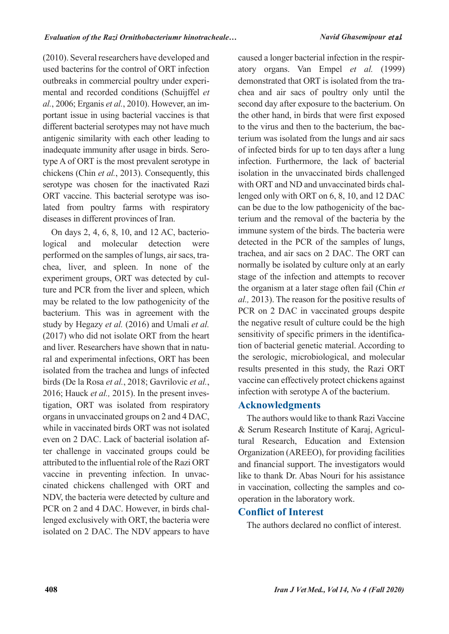(2010). Several researchers have developed and used bacterins for the control of ORT infection outbreaks in commercial poultry under experimental and recorded conditions (Schuijffel *et al.*, 2006; Erganis *et al.*, 2010). However, an important issue in using bacterial vaccines is that different bacterial serotypes may not have much antigenic similarity with each other leading to inadequate immunity after usage in birds. Serotype A of ORT is the most prevalent serotype in chickens (Chin *et al.*, 2013). Consequently, this serotype was chosen for the inactivated Razi ORT vaccine. This bacterial serotype was isolated from poultry farms with respiratory diseases in different provinces of Iran.

On days 2, 4, 6, 8, 10, and 12 AC, bacteriological and molecular detection were performed on the samples of lungs, air sacs, trachea, liver, and spleen. In none of the experiment groups, ORT was detected by culture and PCR from the liver and spleen, which may be related to the low pathogenicity of the bacterium. This was in agreement with the study by Hegazy *et al.* (2016) and Umali *et al.* (2017) who did not isolate ORT from the heart and liver. Researchers have shown that in natural and experimental infections, ORT has been isolated from the trachea and lungs of infected birds (De la Rosa *et al.*, 2018; Gavrilovic *et al.*, 2016; Hauck *et al.,* 2015). In the present investigation, ORT was isolated from respiratory organs in unvaccinated groups on 2 and 4 DAC, while in vaccinated birds ORT was not isolated even on 2 DAC. Lack of bacterial isolation after challenge in vaccinated groups could be attributed to the influential role of the Razi ORT vaccine in preventing infection. In unvaccinated chickens challenged with ORT and NDV, the bacteria were detected by culture and PCR on 2 and 4 DAC. However, in birds challenged exclusively with ORT, the bacteria were isolated on 2 DAC. The NDV appears to have caused a longer bacterial infection in the respiratory organs. Van Empel *et al.* (1999) demonstrated that ORT is isolated from the trachea and air sacs of poultry only until the second day after exposure to the bacterium. On the other hand, in birds that were first exposed to the virus and then to the bacterium, the bacterium was isolated from the lungs and air sacs of infected birds for up to ten days after a lung infection. Furthermore, the lack of bacterial isolation in the unvaccinated birds challenged with ORT and ND and unvaccinated birds challenged only with ORT on 6, 8, 10, and 12 DAC can be due to the low pathogenicity of the bacterium and the removal of the bacteria by the immune system of the birds. The bacteria were detected in the PCR of the samples of lungs, trachea, and air sacs on 2 DAC. The ORT can normally be isolated by culture only at an early stage of the infection and attempts to recover the organism at a later stage often fail (Chin *et al.,* 2013). The reason for the positive results of PCR on 2 DAC in vaccinated groups despite the negative result of culture could be the high sensitivity of specific primers in the identification of bacterial genetic material. According to the serologic, microbiological, and molecular results presented in this study, the Razi ORT vaccine can effectively protect chickens against infection with serotype A of the bacterium.

# **Acknowledgments**

The authors would like to thank Razi Vaccine & Serum Research Institute of Karaj, Agricultural Research, Education and Extension Organization (AREEO), for providing facilities and financial support. The investigators would like to thank Dr. Abas Nouri for his assistance in vaccination, collecting the samples and cooperation in the laboratory work.

# **Conflict of Interest**

The authors declared no conflict of interest.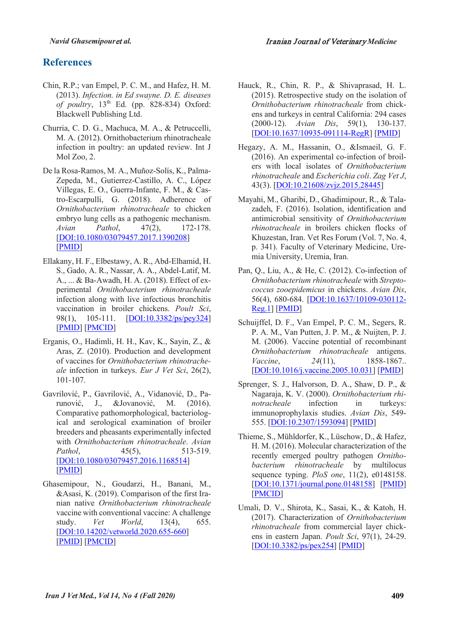# **References**

- Chin, R.P.; van Empel, P. C. M., and Hafez, H. M. (2013). *Infection. in Ed swayne. D. E. diseases of poultry*, 13<sup>th</sup> Ed. (pp. 828-834) Oxford: Blackwell Publishing Ltd.
- Churria, C. D. G., Machuca, M. A., & Petruccelli, M. A. (2012). Ornithobacterium rhinotracheale infection in poultry: an updated review. Int J Mol Zoo, 2.
- De la Rosa-Ramos, M. A., Muñoz-Solís, K., Palma-Zepeda, M., Gutierrez-Castillo, A. C., López Villegas, E. O., Guerra-Infante, F. M., & Castro-Escarpulli, G. (2018). Adherence of *Ornithobacterium rhinotracheale* to chicken embryo lung cells as a pathogenic mechanism. *Avian Pathol*, 47(2), 172-178. [DOI:10.1080/03079457.2017.1390208] [PMID]
- Ellakany, H. F., Elbestawy, A. R., Abd-Elhamid, H. S., Gado, A. R., Nassar, A. A., Abdel-Latif, M. A., ... & Ba-Awadh, H. A. (2018). Effect of experimental *Ornithobacterium rhinotracheale* infection along with live infectious bronchitis vaccination in broiler chickens. *Poult Sci*, 98(1), 105-111. [DOI:10.3382/ps/pey324] [PMID] [PMCID]
- Erganis, O., Hadimli, H. H., Kav, K., Sayin, Z., & Aras, Z. (2010). Production and development of vaccines for *Ornithobacterium rhinotracheale* infection in turkeys. *Eur J Vet Sci*, 26(2), 101-107.
- Gavrilović, P., Gavrilović, A., Vidanović, D., Parunović, J., &Jovanović, M. (2016). Comparative pathomorphological, bacteriological and serological examination of broiler breeders and pheasants experimentally infected with *Ornithobacterium rhinotracheale*. *Avian Pathol*, 45(5), 513-519. [DOI:10.1080/03079457.2016.1168514] [PMID]
- Ghasemipour, N., Goudarzi, H., Banani, M., &Asasi, K. (2019). Comparison of the first Iranian native *Ornithobacterium rhinotracheale* vaccine with conventional vaccine: A challenge study. *Vet World*, 13(4), 655. [DOI:10.14202/vetworld.2020.655-660] [PMID] [PMCID]
- Hauck, R., Chin, R. P., & Shivaprasad, H. L. (2015). Retrospective study on the isolation of *Ornithobacterium rhinotracheale* from chickens and turkeys in central California: 294 cases (2000-12). *Avian Dis*, 59(1), 130-137. [DOI:10.1637/10935-091114-RegR] [PMID]
- Hegazy, A. M., Hassanin, O., &Ismaeil, G. F. (2016). An experimental co-infection of broilers with local isolates of *Ornithobacterium rhinotracheale* and *Escherichia coli*. *Zag Vet J*, 43(3). [DOI:10.21608/zvjz.2015.28445]
- Mayahi, M., Gharibi, D., Ghadimipour, R., & Talazadeh, F. (2016). Isolation, identification and antimicrobial sensitivity of *Ornithobacterium rhinotracheale* in broilers chicken flocks of Khuzestan, Iran. Vet Res Forum (Vol. 7, No. 4, p. 341). Faculty of Veterinary Medicine, Uremia University, Uremia, Iran.
- Pan, Q., Liu, A., & He, C. (2012). Co-infection of *Ornithobacterium rhinotracheale* with *Streptococcus zooepidemicus* in chickens. *Avian Dis*, 56(4), 680-684. [DOI:10.1637/10109-030112- Reg.1] [PMID]
- Schuijffel, D. F., Van Empel, P. C. M., Segers, R. P. A. M., Van Putten, J. P. M., & Nuijten, P. J. M. (2006). Vaccine potential of recombinant *Ornithobacterium rhinotracheale* antigens. *Vaccine*, *24*(11), 1858-1867.. [DOI:10.1016/j.vaccine.2005.10.031] [PMID]
- Sprenger, S. J., Halvorson, D. A., Shaw, D. P., & Nagaraja, K. V. (2000). *Ornithobacterium rhinotracheale* infection in turkeys: immunoprophylaxis studies. *Avian Dis*, 549- 555. [DOI:10.2307/1593094] [PMID]
- Thieme, S., Mühldorfer, K., Lüschow, D., & Hafez, H. M. (2016). Molecular characterization of the recently emerged poultry pathogen *Ornithobacterium rhinotracheale* by multilocus sequence typing. *PloS one*, 11(2), e0148158. [DOI:10.1371/journal.pone.0148158] [PMID] [PMCID]
- Umali, D. V., Shirota, K., Sasai, K., & Katoh, H. (2017). Characterization of *Ornithobacterium rhinotracheale* from commercial layer chickens in eastern Japan. *Poult Sci*, 97(1), 24-29. [DOI:10.3382/ps/pex254] [PMID]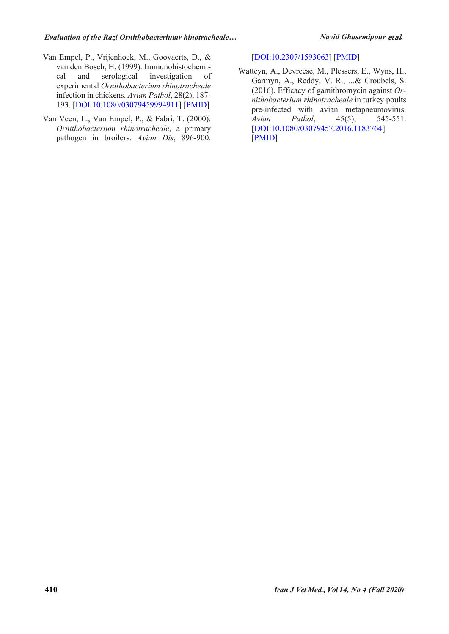- Van Empel, P., Vrijenhoek, M., Goovaerts, D., & van den Bosch, H. (1999). Immunohistochemical and serological investigation of experimental *Ornithobacterium rhinotracheale* infection in chickens. *Avian Pathol*, 28(2), 187- 193. [DOI:10.1080/03079459994911] [PMID]
- Van Veen, L., Van Empel, P., & Fabri, T. (2000). *Ornithobacterium rhinotracheale*, a primary pathogen in broilers. *Avian Dis*, 896-900.

[DOI:10.2307/1593063] [PMID]

Watteyn, A., Devreese, M., Plessers, E., Wyns, H., Garmyn, A., Reddy, V. R., ...& Croubels, S. (2016). Efficacy of gamithromycin against *Ornithobacterium rhinotracheale* in turkey poults pre-infected with avian metapneumovirus. *Avian Pathol*, 45(5), 545-551. [DOI:10.1080/03079457.2016.1183764] [PMID]